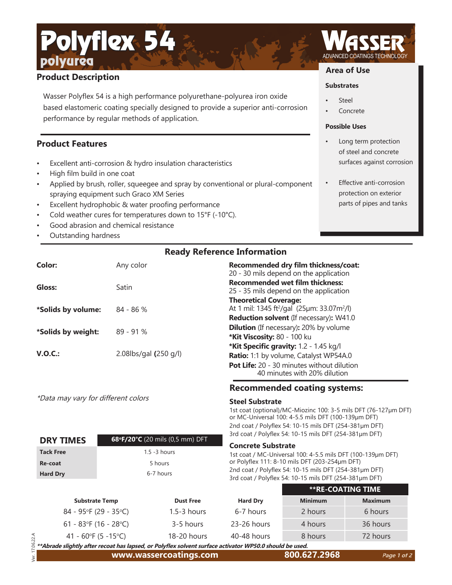# **Product Description**

Polyflex 54

polyurea

Wasser Polyflex 54 is a high performance polyurethane-polyurea iron oxide based elastomeric coating specially designed to provide a superior anti-corrosion performance by regular methods of application.

### **Product Features**

- Excellent anti-corrosion & hydro insulation characteristics
- High film build in one coat
- Applied by brush, roller, squeegee and spray by conventional or plural-component spraying equipment such Graco XM Series
- Excellent hydrophobic & water proofing performance
- Cold weather cures for temperatures down to 15°F (-10°C).
- Good abrasion and chemical resistance
- Outstanding hardness

### **Ready Reference Information**

| Color:             | Any color                | Recommended dry film thickness/coat:<br>20 - 30 mils depend on the application                     |
|--------------------|--------------------------|----------------------------------------------------------------------------------------------------|
| Gloss:             | Satin                    | <b>Recommended wet film thickness:</b><br>25 - 35 mils depend on the application                   |
| *Solids by volume: | $84 - 86%$               | <b>Theoretical Coverage:</b><br>At 1 mil: 1345 ft <sup>2</sup> /gal (25µm: 33.07m <sup>2</sup> /l) |
|                    |                          | <b>Reduction solvent</b> (If necessary): W41.0                                                     |
| *Solids by weight: | $89 - 91%$               | <b>Dilution</b> (If necessary): 20% by volume                                                      |
|                    |                          | *Kit Viscosity: 80 - 100 ku                                                                        |
| V.O.C.:            |                          | *Kit Specific gravity: 1.2 - 1.45 kg/l                                                             |
|                    | 2.08 $bs$ /gal (250 g/l) | Ratio: 1:1 by volume, Catalyst WP54A.0                                                             |
|                    |                          | Pot Life: 20 - 30 minutes without dilution                                                         |

\*Data may vary for different colors

**DRY TIMES 68°F/20°C** (20 mils (0,5 mm) DFT

**Tack Free** 1.5 -3 hours **Re-coat** 5 hours Hard Dry 6-7 hours

17.06.22.A Ver. 17.06.22.A

### **Recommended coating systems:**

40 minutes with 20% dilution

#### **Steel Substrate**

1st coat (optional)/MC-Miozinc 100: 3-5 mils DFT (76-127µm DFT) or MC-Universal 100: 4-5.5 mils DFT (100-139µm DFT) 2nd coat / Polyflex 54: 10-15 mils DFT (254-381µm DFT) 3rd coat / Polyflex 54: 10-15 mils DFT (254-381µm DFT)

**Substrates**

**Steel Concrete** 

**Area of Use**

**Possible Uses**

Long term protection of steel and concrete surfaces against corrosion

**Effective anti-corrosion** protection on exterior parts of pipes and tanks

#### **Concrete Substrate**

1st coat / MC-Universal 100: 4-5.5 mils DFT (100-139µm DFT) or Polyflex 111: 8-10 mils DFT (203-254µm DFT) 2nd coat / Polyflex 54: 10-15 mils DFT (254-381µm DFT) 3rd coat / Polyflex 54: 10-15 mils DFT (254-381µm DFT)

|                                                                                                         |                  |                 |                | <b>**RE-COATING TIME</b> |  |
|---------------------------------------------------------------------------------------------------------|------------------|-----------------|----------------|--------------------------|--|
| <b>Substrate Temp</b>                                                                                   | <b>Dust Free</b> | <b>Hard Dry</b> | <b>Minimum</b> | <b>Maximum</b>           |  |
| $84 - 95$ °F (29 - 35°C)                                                                                | $1.5 - 3$ hours  | 6-7 hours       | 2 hours        | 6 hours                  |  |
| 61 - 83°F (16 - 28°C)                                                                                   | 3-5 hours        | 23-26 hours     | 4 hours        | 36 hours                 |  |
| 41 - 60°F (5 -15°C)                                                                                     | $18-20$ hours    | 40-48 hours     | 8 hours        | 72 hours                 |  |
| **Abrade slightly after recoat has lapsed, or Polyflex solvent surface activator WP50.0 should be used. |                  |                 |                |                          |  |